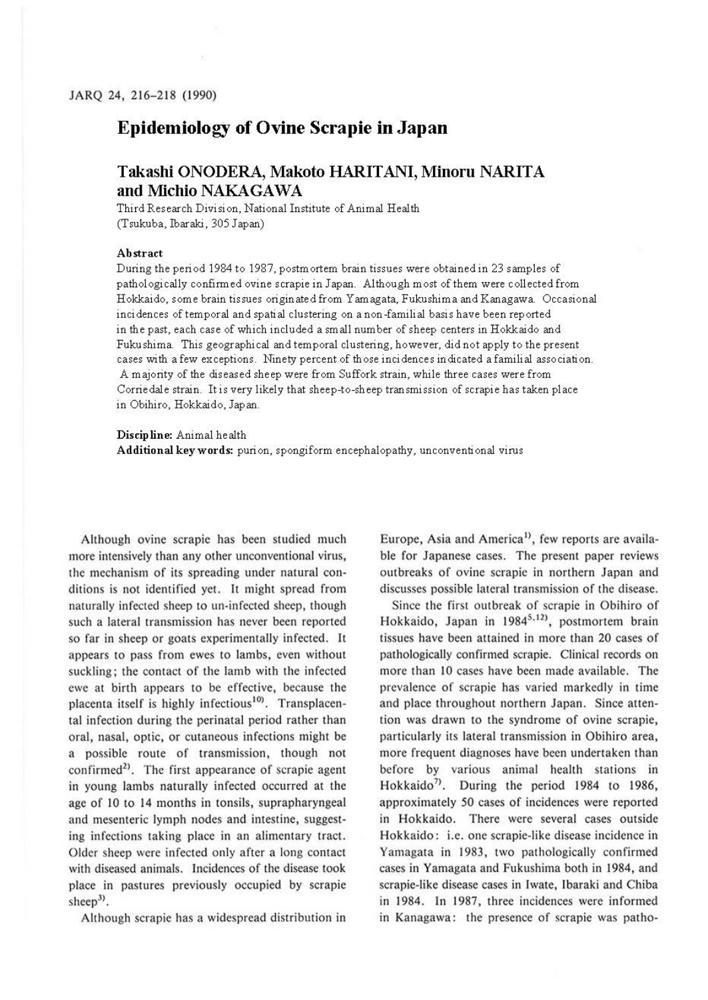## **Epidemiology of Ovine Scrapie in Japan**

## **Takashi ONODERA, Makoto HARITANI, Minoru NARITA and Michio NAKAGAWA**

Third Research Division, National Institute of Animal Health (Tsukuba, Ibaraki, 305 Japan)

## **Abstract**

During the period 1984 to 1987, postmortem brain tissues were obtained in 23 samples of pathologically confirmed ovine scrapie in Japan. Although most of them were collected from Hokkaido, some brain tissues originated from Yamagata, Fukushima and Kanagawa. Occasional incidences of temporal and spatial clustering on anon-familial basis have been reported in the past, each case of which included a small number of sheep centers in Hokkaido and Fukushima. This geographical and temporal clustering, however, did not apply to the present cases with a few exceptions. Ninety percent of those incidences indicated a familial association. A majority of the diseased sheep were from Suffork strain, while three cases were from Corrie dale strain. It is very likely that sheep-to-sheep transmission of scrapie has taken place in Obihiro, Hokkaido, Japan.

**Discipline:** Animal health

**Additional keywords:** purion, spongiform encephalopathy, unconventional virus

Although ovine scrapie has been studied much more intensively than any other unconventional virus, the mechanism of its spreading under natural conditions is not identified yet. It might spread from naturally infected sheep to un-infccted sheep, though such a lateral transmission has never been reported so far in sheep or goats experimentally infected. It appears to pass from ewes to lambs, even without suckling; the contact of the lamb with the infected ewe at birth appears to be effective, because the placenta itself is highly infectious<sup>10)</sup>. Transplacental infection during the perinatal period rather than oral, nasal, optic, or cutaneous infections might be a possible route of transmission, though not confirmed<sup>2)</sup>. The first appearance of scrapie agent in young lambs naturally infected occurred at the age of IO to 14 months in tonsils, suprapharyngeal and mesenteric lymph nodes and intestine, suggesting infections taking place in an alimentary tract. Older sheep were infected only after a long contact with diseased animals. Incidences of the disease took place in pastures previously occupied by scrapie sheep<sup>3)</sup>.

Although scrapie has a widespread distribution in

Europe, Asia and America<sup>1</sup>, few reports are available for Japanese cases. The present paper reviews outbreaks of ovine scrapie in northern Japan and discusses possible lateral transmission of the disease.

Since the first outbreak of scrapie in Obihiro of Hokkaido, Japan in 1984<sup>5,12)</sup>, postmortem brain tissues have been attained in more than 20 cases of pathologically confirmed scrapie. Clinical records on more than 10 cases have been made available. The prevalence of scrapie has varied markedly in time and place throughout northern Japan. Since attention was drawn to the syndrome of ovine scrapie, particularly its lateral transmission in Obihiro area, more frequent diagnoses have been undertaken than before by various animal health stations in Hokkaido<sup>7)</sup>. During the period 1984 to 1986, approximately 50 cases of incidences were reported in Hokkaido. There were several cases outside Hokkaido: i.e. one scrapie-like disease incidence in Yamagata in 1983, two pathologically confirmed cases in Yamagata and Fukushima both in 1984, and scrapie-like disease cases in Iwate, Ibaraki and Chiba in 1984. In 1987, three incidences were informed in Kanagawa: the presence of scrapie was patho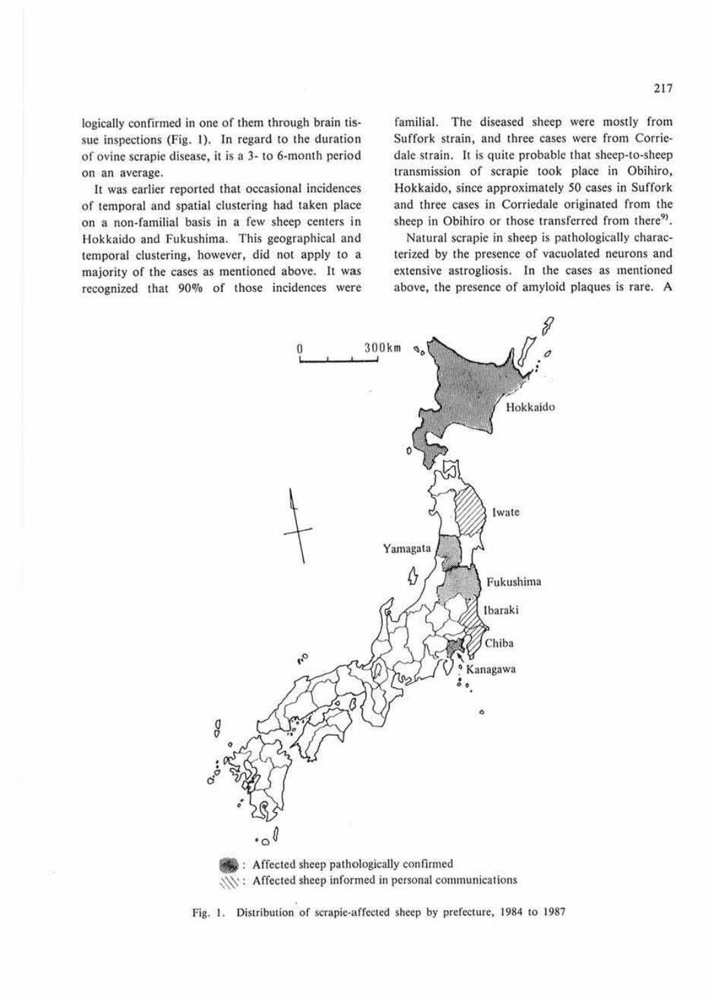logically confirmed in one of them through brain tissue inspections (Fig. I). In regard to the duration of ovine scrapie disease, it is a 3- to 6-month period on an average.

It was earlier reported that occasional incidences of temporal and spatial clustering had taken place on a non-familial basis in a few sheep centers in Hokkaido and Fukushima. This geographical and temporal clustering, however, did not apply to a majority of the cases as mentioned above. It was recognized that 90% of those incidences were familial. The diseased sheep were mostly from Suffork strain, and three cases were from Corriedale strain. It is quite probable that sheep-to-sheep transmission of scrapie took place in Obihiro, Hokkaido, since approximately 50 cases in Suffork and three cases in Corriedale originated from the sheep in Obihiro or those transferred from there<sup>9)</sup>.

Natural scrapie in sheep is pathologically characterized by the presence of vacuolated neurons and extensive astrogliosis. In the cases as memioned above, the presence of amyloid plaques is rare. A



Fig. I. Distribution of scrapie-affected sheep by prefecture, 1984 to 1987